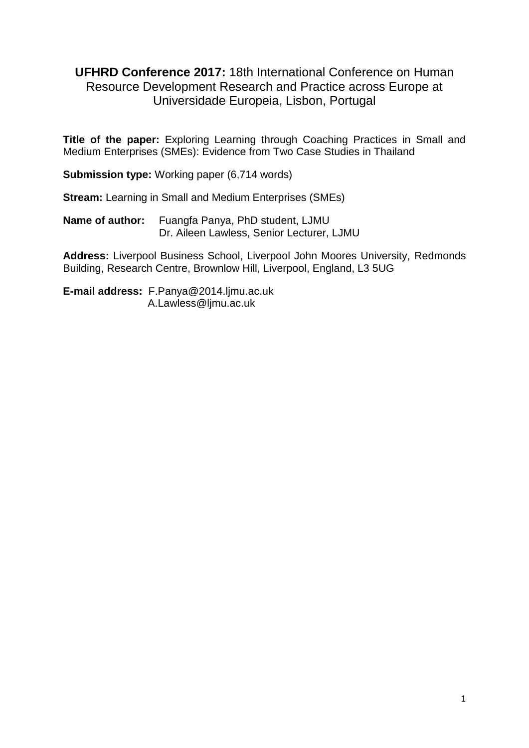**UFHRD Conference 2017:** 18th International Conference on Human Resource Development Research and Practice across Europe at Universidade Europeia, Lisbon, Portugal

**Title of the paper:** Exploring Learning through Coaching Practices in Small and Medium Enterprises (SMEs): Evidence from Two Case Studies in Thailand

**Submission type:** Working paper (6,714 words)

**Stream: Learning in Small and Medium Enterprises (SMEs)** 

**Name of author:** Fuangfa Panya, PhD student, LJMU Dr. Aileen Lawless, Senior Lecturer, LJMU

**Address:** Liverpool Business School, Liverpool John Moores University, Redmonds Building, Research Centre, Brownlow Hill, Liverpool, England, L3 5UG

**E-mail address:** [F.Panya@2014.ljmu.ac.uk](mailto:F.Panya@2014.ljmu.ac.uk) A.Lawless@ljmu.ac.uk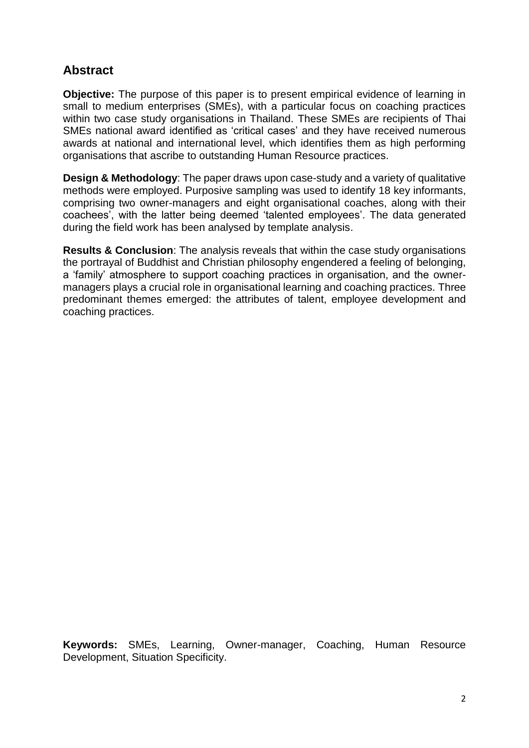# **Abstract**

**Objective:** The purpose of this paper is to present empirical evidence of learning in small to medium enterprises (SMEs), with a particular focus on coaching practices within two case study organisations in Thailand. These SMEs are recipients of Thai SMEs national award identified as 'critical cases' and they have received numerous awards at national and international level, which identifies them as high performing organisations that ascribe to outstanding Human Resource practices.

**Design & Methodology:** The paper draws upon case-study and a variety of qualitative methods were employed. Purposive sampling was used to identify 18 key informants, comprising two owner-managers and eight organisational coaches, along with their coachees', with the latter being deemed 'talented employees'. The data generated during the field work has been analysed by template analysis.

**Results & Conclusion**: The analysis reveals that within the case study organisations the portrayal of Buddhist and Christian philosophy engendered a feeling of belonging, a 'family' atmosphere to support coaching practices in organisation, and the ownermanagers plays a crucial role in organisational learning and coaching practices. Three predominant themes emerged: the attributes of talent, employee development and coaching practices.

**Keywords:** SMEs, Learning, Owner-manager, Coaching, Human Resource Development, Situation Specificity.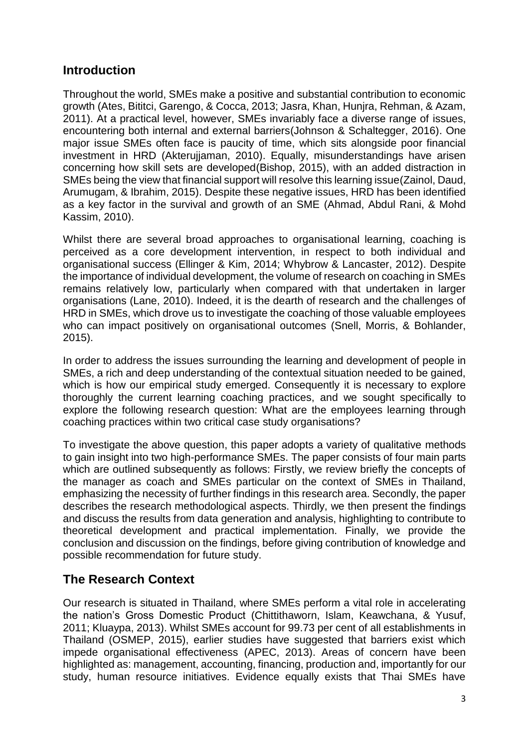## **Introduction**

Throughout the world, SMEs make a positive and substantial contribution to economic growth (Ates, Bititci, Garengo, & Cocca, 2013; Jasra, Khan, Hunjra, Rehman, & Azam, 2011). At a practical level, however, SMEs invariably face a diverse range of issues, encountering both internal and external barriers(Johnson & Schaltegger, 2016). One major issue SMEs often face is paucity of time, which sits alongside poor financial investment in HRD (Akterujjaman, 2010). Equally, misunderstandings have arisen concerning how skill sets are developed(Bishop, 2015), with an added distraction in SMEs being the view that financial support will resolve this learning issue(Zainol, Daud, Arumugam, & Ibrahim, 2015). Despite these negative issues, HRD has been identified as a key factor in the survival and growth of an SME (Ahmad, Abdul Rani, & Mohd Kassim, 2010).

Whilst there are several broad approaches to organisational learning, coaching is perceived as a core development intervention, in respect to both individual and organisational success (Ellinger & Kim, 2014; Whybrow & Lancaster, 2012). Despite the importance of individual development, the volume of research on coaching in SMEs remains relatively low, particularly when compared with that undertaken in larger organisations (Lane, 2010). Indeed, it is the dearth of research and the challenges of HRD in SMEs, which drove us to investigate the coaching of those valuable employees who can impact positively on organisational outcomes (Snell, Morris, & Bohlander, 2015).

In order to address the issues surrounding the learning and development of people in SMEs, a rich and deep understanding of the contextual situation needed to be gained, which is how our empirical study emerged. Consequently it is necessary to explore thoroughly the current learning coaching practices, and we sought specifically to explore the following research question: What are the employees learning through coaching practices within two critical case study organisations?

To investigate the above question, this paper adopts a variety of qualitative methods to gain insight into two high-performance SMEs. The paper consists of four main parts which are outlined subsequently as follows: Firstly, we review briefly the concepts of the manager as coach and SMEs particular on the context of SMEs in Thailand, emphasizing the necessity of further findings in this research area. Secondly, the paper describes the research methodological aspects. Thirdly, we then present the findings and discuss the results from data generation and analysis, highlighting to contribute to theoretical development and practical implementation. Finally, we provide the conclusion and discussion on the findings, before giving contribution of knowledge and possible recommendation for future study.

# **The Research Context**

Our research is situated in Thailand, where SMEs perform a vital role in accelerating the nation's Gross Domestic Product (Chittithaworn, Islam, Keawchana, & Yusuf, 2011; Kluaypa, 2013). Whilst SMEs account for 99.73 per cent of all establishments in Thailand (OSMEP, 2015), earlier studies have suggested that barriers exist which impede organisational effectiveness (APEC, 2013). Areas of concern have been highlighted as: management, accounting, financing, production and, importantly for our study, human resource initiatives. Evidence equally exists that Thai SMEs have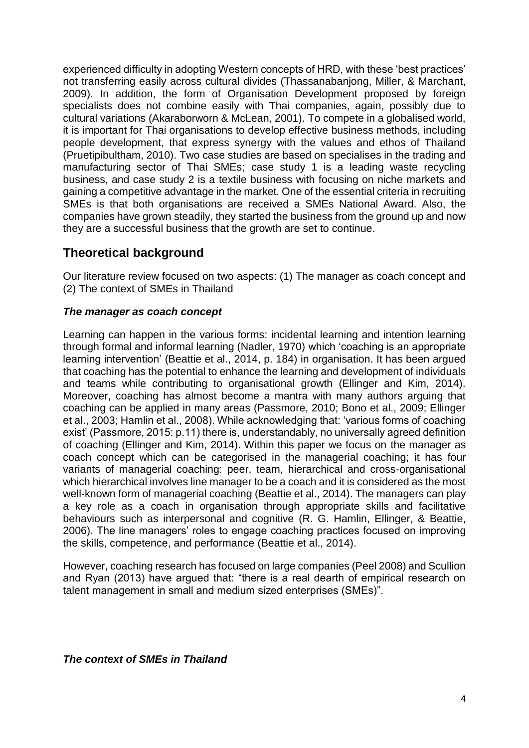experienced difficulty in adopting Western concepts of HRD, with these 'best practices' not transferring easily across cultural divides (Thassanabanjong, Miller, & Marchant, 2009). In addition, the form of Organisation Development proposed by foreign specialists does not combine easily with Thai companies, again, possibly due to cultural variations (Akaraborworn & McLean, 2001). To compete in a globalised world, it is important for Thai organisations to develop effective business methods, including people development, that express synergy with the values and ethos of Thailand (Pruetipibultham, 2010). Two case studies are based on specialises in the trading and manufacturing sector of Thai SMEs; case study 1 is a leading waste recycling business, and case study 2 is a textile business with focusing on niche markets and gaining a competitive advantage in the market. One of the essential criteria in recruiting SMEs is that both organisations are received a SMEs National Award. Also, the companies have grown steadily, they started the business from the ground up and now they are a successful business that the growth are set to continue.

## **Theoretical background**

Our literature review focused on two aspects: (1) The manager as coach concept and (2) The context of SMEs in Thailand

### *The manager as coach concept*

Learning can happen in the various forms: incidental learning and intention learning through formal and informal learning (Nadler, 1970) which 'coaching is an appropriate learning intervention' (Beattie et al., 2014, p. 184) in organisation. It has been argued that coaching has the potential to enhance the learning and development of individuals and teams while contributing to organisational growth (Ellinger and Kim, 2014). Moreover, coaching has almost become a mantra with many authors arguing that coaching can be applied in many areas (Passmore, 2010; Bono et al., 2009; Ellinger et al., 2003; Hamlin et al., 2008). While acknowledging that: 'various forms of coaching exist' (Passmore, 2015: p.11) there is, understandably, no universally agreed definition of coaching (Ellinger and Kim, 2014). Within this paper we focus on the manager as coach concept which can be categorised in the managerial coaching; it has four variants of managerial coaching: peer, team, hierarchical and cross-organisational which hierarchical involves line manager to be a coach and it is considered as the most well-known form of managerial coaching (Beattie et al., 2014). The managers can play a key role as a coach in organisation through appropriate skills and facilitative behaviours such as interpersonal and cognitive (R. G. Hamlin, Ellinger, & Beattie, 2006). The line managers' roles to engage coaching practices focused on improving the skills, competence, and performance (Beattie et al., 2014).

However, coaching research has focused on large companies (Peel 2008) and Scullion and Ryan (2013) have argued that: "there is a real dearth of empirical research on talent management in small and medium sized enterprises (SMEs)".

*The context of SMEs in Thailand*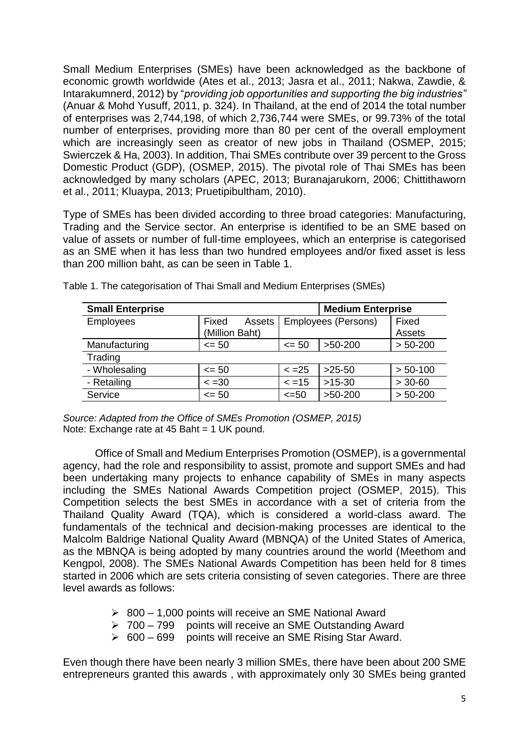Small Medium Enterprises (SMEs) have been acknowledged as the backbone of economic growth worldwide (Ates et al., 2013; Jasra et al., 2011; Nakwa, Zawdie, & Intarakumnerd, 2012) by "*providing job opportunities and supporting the big industries"* (Anuar & Mohd Yusuff, 2011, p. 324). In Thailand, at the end of 2014 the total number of enterprises was 2,744,198, of which 2,736,744 were SMEs, or 99.73% of the total number of enterprises, providing more than 80 per cent of the overall employment which are increasingly seen as creator of new jobs in Thailand (OSMEP, 2015; Swierczek & Ha, 2003). In addition, Thai SMEs contribute over 39 percent to the Gross Domestic Product (GDP), (OSMEP, 2015). The pivotal role of Thai SMEs has been acknowledged by many scholars (APEC, 2013; Buranajarukorn, 2006; Chittithaworn et al., 2011; Kluaypa, 2013; Pruetipibultham, 2010).

Type of SMEs has been divided according to three broad categories: Manufacturing, Trading and the Service sector. An enterprise is identified to be an SME based on value of assets or number of full-time employees, which an enterprise is categorised as an SME when it has less than two hundred employees and/or fixed asset is less than 200 million baht, as can be seen in Table 1.

| <b>Small Enterprise</b> |                 |                     | <b>Medium Enterprise</b> |            |
|-------------------------|-----------------|---------------------|--------------------------|------------|
| <b>Employees</b>        | Fixed<br>Assets | Employees (Persons) |                          | Fixed      |
|                         | (Million Baht)  |                     |                          | Assets     |
| Manufacturing           | $\leq$ 50       | $\leq 50$           | $>50-200$                | $> 50-200$ |
| Trading                 |                 |                     |                          |            |
| - Wholesaling           | $\leq 50$       | $\le$ =25           | $>25-50$                 | $> 50-100$ |
| - Retailing             | $\le$ =30       | $\le$ =15           | $>15-30$                 | $> 30-60$  |
| Service                 | $\leq$ 50       | $\leq 50$           | $>50-200$                | $> 50-200$ |

Table 1. The categorisation of Thai Small and Medium Enterprises (SMEs)

*Source: Adapted from the Office of SMEs Promotion (OSMEP, 2015)* Note: Exchange rate at 45 Baht = 1 UK pound.

Office of Small and Medium Enterprises Promotion (OSMEP), is a governmental agency, had the role and responsibility to assist, promote and support SMEs and had been undertaking many projects to enhance capability of SMEs in many aspects including the SMEs National Awards Competition project (OSMEP, 2015). This Competition selects the best SMEs in accordance with a set of criteria from the Thailand Quality Award (TQA), which is considered a world-class award. The fundamentals of the technical and decision-making processes are identical to the Malcolm Baldrige National Quality Award (MBNQA) of the United States of America, as the MBNQA is being adopted by many countries around the world (Meethom and Kengpol, 2008). The SMEs National Awards Competition has been held for 8 times started in 2006 which are sets criteria consisting of seven categories. There are three level awards as follows:

- $\geq$  800 1,000 points will receive an SME National Award
- 700 799 points will receive an SME Outstanding Award
- $\geq 600 699$  points will receive an SME Rising Star Award.

Even though there have been nearly 3 million SMEs, there have been about 200 SME entrepreneurs granted this awards , with approximately only 30 SMEs being granted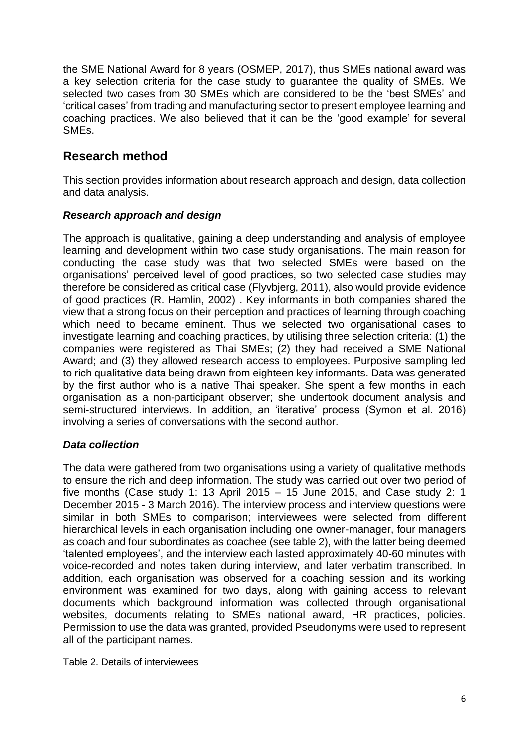the SME National Award for 8 years (OSMEP, 2017), thus SMEs national award was a key selection criteria for the case study to guarantee the quality of SMEs. We selected two cases from 30 SMEs which are considered to be the 'best SMEs' and 'critical cases' from trading and manufacturing sector to present employee learning and coaching practices. We also believed that it can be the 'good example' for several SMEs.

## **Research method**

This section provides information about research approach and design, data collection and data analysis.

### *Research approach and design*

The approach is qualitative, gaining a deep understanding and analysis of employee learning and development within two case study organisations. The main reason for conducting the case study was that two selected SMEs were based on the organisations' perceived level of good practices, so two selected case studies may therefore be considered as critical case (Flyvbjerg, 2011), also would provide evidence of good practices (R. Hamlin, 2002) . Key informants in both companies shared the view that a strong focus on their perception and practices of learning through coaching which need to became eminent. Thus we selected two organisational cases to investigate learning and coaching practices, by utilising three selection criteria: (1) the companies were registered as Thai SMEs; (2) they had received a SME National Award; and (3) they allowed research access to employees. Purposive sampling led to rich qualitative data being drawn from eighteen key informants. Data was generated by the first author who is a native Thai speaker. She spent a few months in each organisation as a non-participant observer; she undertook document analysis and semi-structured interviews. In addition, an 'iterative' process (Symon et al. 2016) involving a series of conversations with the second author.

### *Data collection*

The data were gathered from two organisations using a variety of qualitative methods to ensure the rich and deep information. The study was carried out over two period of five months (Case study 1: 13 April 2015 – 15 June 2015, and Case study 2: 1 December 2015 - 3 March 2016). The interview process and interview questions were similar in both SMEs to comparison; interviewees were selected from different hierarchical levels in each organisation including one owner-manager, four managers as coach and four subordinates as coachee (see table 2), with the latter being deemed 'talented employees', and the interview each lasted approximately 40-60 minutes with voice-recorded and notes taken during interview, and later verbatim transcribed. In addition, each organisation was observed for a coaching session and its working environment was examined for two days, along with gaining access to relevant documents which background information was collected through organisational websites, documents relating to SMEs national award, HR practices, policies. Permission to use the data was granted, provided Pseudonyms were used to represent all of the participant names.

Table 2. Details of interviewees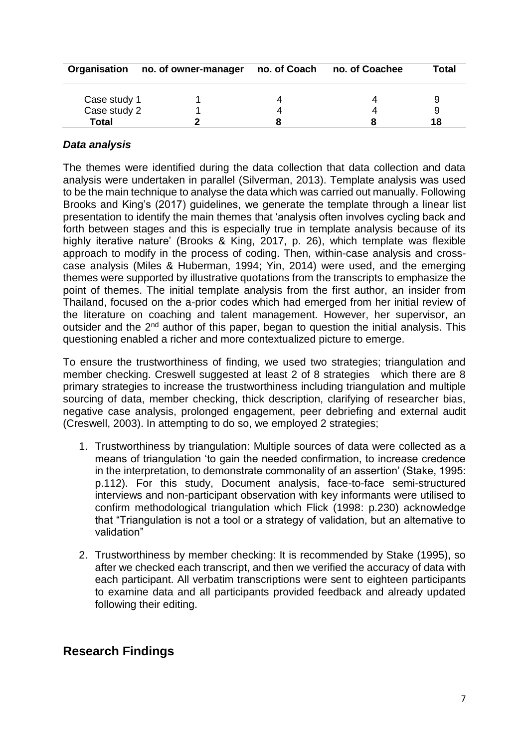| Organisation | no. of owner-manager | no. of Coach | no. of Coachee | <b>Total</b> |
|--------------|----------------------|--------------|----------------|--------------|
| Case study 1 |                      |              |                |              |
| Case study 2 |                      |              |                |              |
| Total        |                      |              |                | 18           |

### *Data analysis*

The themes were identified during the data collection that data collection and data analysis were undertaken in parallel (Silverman, 2013). Template analysis was used to be the main technique to analyse the data which was carried out manually. Following Brooks and King's (2017) guidelines, we generate the template through a linear list presentation to identify the main themes that 'analysis often involves cycling back and forth between stages and this is especially true in template analysis because of its highly iterative nature' (Brooks & King, 2017, p. 26), which template was flexible approach to modify in the process of coding. Then, within-case analysis and crosscase analysis (Miles & Huberman, 1994; Yin, 2014) were used, and the emerging themes were supported by illustrative quotations from the transcripts to emphasize the point of themes. The initial template analysis from the first author, an insider from Thailand, focused on the a-prior codes which had emerged from her initial review of the literature on coaching and talent management. However, her supervisor, an outsider and the  $2<sup>nd</sup>$  author of this paper, began to question the initial analysis. This questioning enabled a richer and more contextualized picture to emerge.

To ensure the trustworthiness of finding, we used two strategies; triangulation and member checking. Creswell suggested at least 2 of 8 strategies which there are 8 primary strategies to increase the trustworthiness including triangulation and multiple sourcing of data, member checking, thick description, clarifying of researcher bias, negative case analysis, prolonged engagement, peer debriefing and external audit (Creswell, 2003). In attempting to do so, we employed 2 strategies;

- 1. Trustworthiness by triangulation: Multiple sources of data were collected as a means of triangulation 'to gain the needed confirmation, to increase credence in the interpretation, to demonstrate commonality of an assertion' (Stake, 1995: p.112). For this study, Document analysis, face-to-face semi-structured interviews and non-participant observation with key informants were utilised to confirm methodological triangulation which Flick (1998: p.230) acknowledge that "Triangulation is not a tool or a strategy of validation, but an alternative to validation"
- 2. Trustworthiness by member checking: It is recommended by Stake (1995), so after we checked each transcript, and then we verified the accuracy of data with each participant. All verbatim transcriptions were sent to eighteen participants to examine data and all participants provided feedback and already updated following their editing.

## **Research Findings**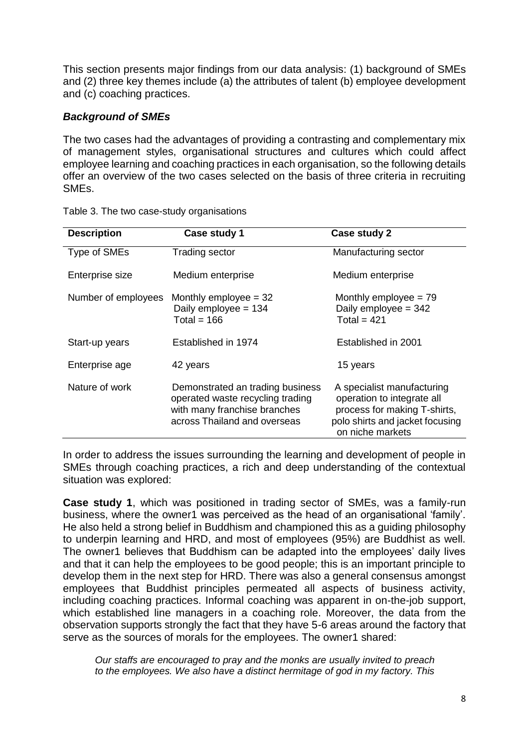This section presents major findings from our data analysis: (1) background of SMEs and (2) three key themes include (a) the attributes of talent (b) employee development and (c) coaching practices.

## *Background of SMEs*

The two cases had the advantages of providing a contrasting and complementary mix of management styles, organisational structures and cultures which could affect employee learning and coaching practices in each organisation, so the following details offer an overview of the two cases selected on the basis of three criteria in recruiting SMEs.

| <b>Description</b>  | Case study 1                                                                                                                         | Case study 2                                                                                                                                    |
|---------------------|--------------------------------------------------------------------------------------------------------------------------------------|-------------------------------------------------------------------------------------------------------------------------------------------------|
| Type of SMEs        | <b>Trading sector</b>                                                                                                                | Manufacturing sector                                                                                                                            |
| Enterprise size     | Medium enterprise                                                                                                                    | Medium enterprise                                                                                                                               |
| Number of employees | Monthly employee $=$ 32<br>Daily employee = 134<br>Total = $166$                                                                     | Monthly employee $= 79$<br>Daily employee $= 342$<br>Total = $421$                                                                              |
| Start-up years      | Established in 1974                                                                                                                  | Established in 2001                                                                                                                             |
| Enterprise age      | 42 years                                                                                                                             | 15 years                                                                                                                                        |
| Nature of work      | Demonstrated an trading business<br>operated waste recycling trading<br>with many franchise branches<br>across Thailand and overseas | A specialist manufacturing<br>operation to integrate all<br>process for making T-shirts,<br>polo shirts and jacket focusing<br>on niche markets |

|  | Table 3. The two case-study organisations |
|--|-------------------------------------------|
|  |                                           |

In order to address the issues surrounding the learning and development of people in SMEs through coaching practices, a rich and deep understanding of the contextual situation was explored:

**Case study 1**, which was positioned in trading sector of SMEs, was a family-run business, where the owner1 was perceived as the head of an organisational 'family'. He also held a strong belief in Buddhism and championed this as a guiding philosophy to underpin learning and HRD, and most of employees (95%) are Buddhist as well. The owner1 believes that Buddhism can be adapted into the employees' daily lives and that it can help the employees to be good people; this is an important principle to develop them in the next step for HRD. There was also a general consensus amongst employees that Buddhist principles permeated all aspects of business activity, including coaching practices. Informal coaching was apparent in on-the-job support, which established line managers in a coaching role. Moreover, the data from the observation supports strongly the fact that they have 5-6 areas around the factory that serve as the sources of morals for the employees. The owner1 shared:

*Our staffs are encouraged to pray and the monks are usually invited to preach to the employees. We also have a distinct hermitage of god in my factory. This*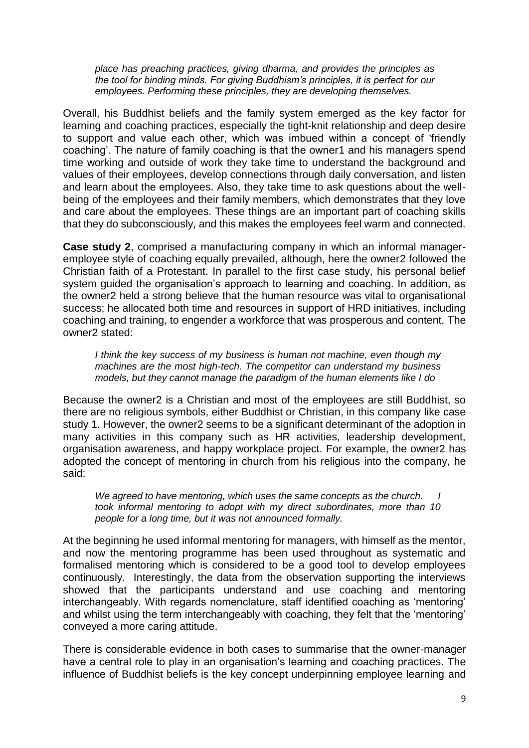*place has preaching practices, giving dharma, and provides the principles as the tool for binding minds. For giving Buddhism's principles, it is perfect for our employees. Performing these principles, they are developing themselves.*

Overall, his Buddhist beliefs and the family system emerged as the key factor for learning and coaching practices, especially the tight-knit relationship and deep desire to support and value each other, which was imbued within a concept of 'friendly coaching'. The nature of family coaching is that the owner1 and his managers spend time working and outside of work they take time to understand the background and values of their employees, develop connections through daily conversation, and listen and learn about the employees. Also, they take time to ask questions about the wellbeing of the employees and their family members, which demonstrates that they love and care about the employees. These things are an important part of coaching skills that they do subconsciously, and this makes the employees feel warm and connected.

**Case study 2**, comprised a manufacturing company in which an informal manageremployee style of coaching equally prevailed, although, here the owner2 followed the Christian faith of a Protestant. In parallel to the first case study, his personal belief system guided the organisation's approach to learning and coaching. In addition, as the owner2 held a strong believe that the human resource was vital to organisational success; he allocated both time and resources in support of HRD initiatives, including coaching and training, to engender a workforce that was prosperous and content. The owner2 stated:

*I think the key success of my business is human not machine, even though my machines are the most high-tech. The competitor can understand my business models, but they cannot manage the paradigm of the human elements like I do*

Because the owner2 is a Christian and most of the employees are still Buddhist, so there are no religious symbols, either Buddhist or Christian, in this company like case study 1. However, the owner2 seems to be a significant determinant of the adoption in many activities in this company such as HR activities, leadership development, organisation awareness, and happy workplace project. For example, the owner2 has adopted the concept of mentoring in church from his religious into the company, he said:

*We agreed to have mentoring, which uses the same concepts as the church. I took informal mentoring to adopt with my direct subordinates, more than 10 people for a long time, but it was not announced formally.*

At the beginning he used informal mentoring for managers, with himself as the mentor, and now the mentoring programme has been used throughout as systematic and formalised mentoring which is considered to be a good tool to develop employees continuously. Interestingly, the data from the observation supporting the interviews showed that the participants understand and use coaching and mentoring interchangeably. With regards nomenclature, staff identified coaching as 'mentoring' and whilst using the term interchangeably with coaching, they felt that the 'mentoring' conveyed a more caring attitude.

There is considerable evidence in both cases to summarise that the owner-manager have a central role to play in an organisation's learning and coaching practices. The influence of Buddhist beliefs is the key concept underpinning employee learning and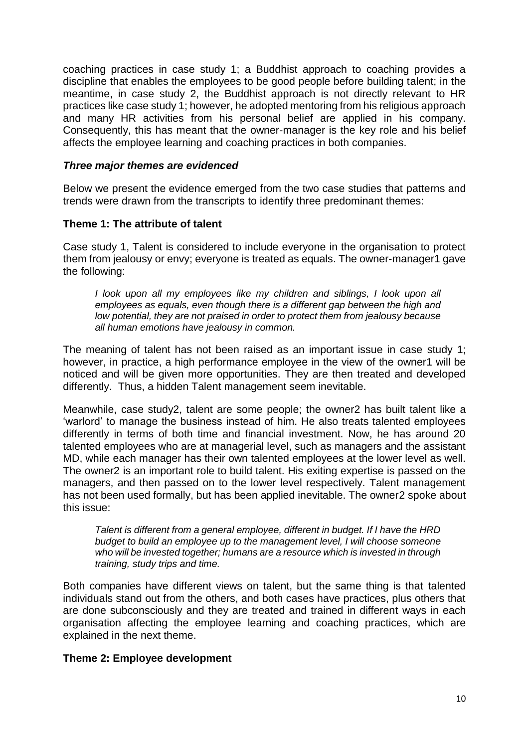coaching practices in case study 1; a Buddhist approach to coaching provides a discipline that enables the employees to be good people before building talent; in the meantime, in case study 2, the Buddhist approach is not directly relevant to HR practices like case study 1; however, he adopted mentoring from his religious approach and many HR activities from his personal belief are applied in his company. Consequently, this has meant that the owner-manager is the key role and his belief affects the employee learning and coaching practices in both companies.

### *Three major themes are evidenced*

Below we present the evidence emerged from the two case studies that patterns and trends were drawn from the transcripts to identify three predominant themes:

### **Theme 1: The attribute of talent**

Case study 1, Talent is considered to include everyone in the organisation to protect them from jealousy or envy; everyone is treated as equals. The owner-manager1 gave the following:

*I look upon all my employees like my children and siblings, I look upon all employees as equals, even though there is a different gap between the high and low potential, they are not praised in order to protect them from jealousy because all human emotions have jealousy in common.*

The meaning of talent has not been raised as an important issue in case study 1; however, in practice, a high performance employee in the view of the owner1 will be noticed and will be given more opportunities. They are then treated and developed differently. Thus, a hidden Talent management seem inevitable.

Meanwhile, case study2, talent are some people; the owner2 has built talent like a 'warlord' to manage the business instead of him. He also treats talented employees differently in terms of both time and financial investment. Now, he has around 20 talented employees who are at managerial level, such as managers and the assistant MD, while each manager has their own talented employees at the lower level as well. The owner2 is an important role to build talent. His exiting expertise is passed on the managers, and then passed on to the lower level respectively. Talent management has not been used formally, but has been applied inevitable. The owner2 spoke about this issue:

*Talent is different from a general employee, different in budget. If I have the HRD budget to build an employee up to the management level, I will choose someone who will be invested together; humans are a resource which is invested in through training, study trips and time.*

Both companies have different views on talent, but the same thing is that talented individuals stand out from the others, and both cases have practices, plus others that are done subconsciously and they are treated and trained in different ways in each organisation affecting the employee learning and coaching practices, which are explained in the next theme.

### **Theme 2: Employee development**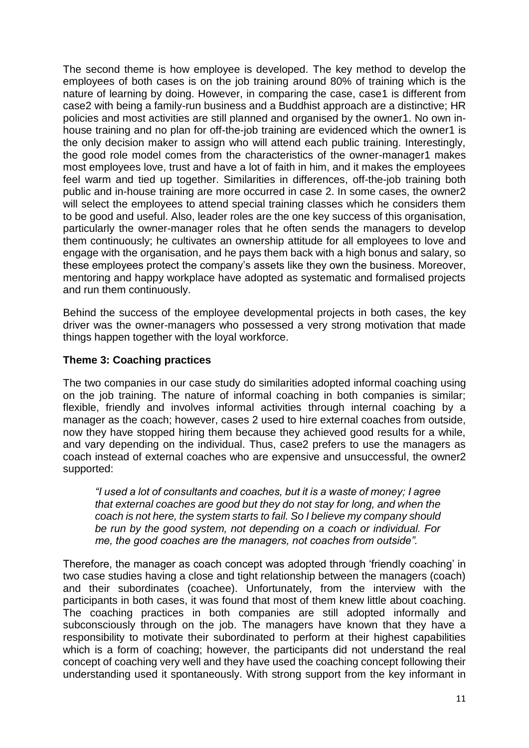The second theme is how employee is developed. The key method to develop the employees of both cases is on the job training around 80% of training which is the nature of learning by doing. However, in comparing the case, case1 is different from case2 with being a family-run business and a Buddhist approach are a distinctive; HR policies and most activities are still planned and organised by the owner1. No own inhouse training and no plan for off-the-job training are evidenced which the owner1 is the only decision maker to assign who will attend each public training. Interestingly, the good role model comes from the characteristics of the owner-manager1 makes most employees love, trust and have a lot of faith in him, and it makes the employees feel warm and tied up together. Similarities in differences, off-the-job training both public and in-house training are more occurred in case 2. In some cases, the owner2 will select the employees to attend special training classes which he considers them to be good and useful. Also, leader roles are the one key success of this organisation, particularly the owner-manager roles that he often sends the managers to develop them continuously; he cultivates an ownership attitude for all employees to love and engage with the organisation, and he pays them back with a high bonus and salary, so these employees protect the company's assets like they own the business. Moreover, mentoring and happy workplace have adopted as systematic and formalised projects and run them continuously.

Behind the success of the employee developmental projects in both cases, the key driver was the owner-managers who possessed a very strong motivation that made things happen together with the loyal workforce.

### **Theme 3: Coaching practices**

The two companies in our case study do similarities adopted informal coaching using on the job training. The nature of informal coaching in both companies is similar; flexible, friendly and involves informal activities through internal coaching by a manager as the coach; however, cases 2 used to hire external coaches from outside, now they have stopped hiring them because they achieved good results for a while, and vary depending on the individual. Thus, case2 prefers to use the managers as coach instead of external coaches who are expensive and unsuccessful, the owner2 supported:

*"I used a lot of consultants and coaches, but it is a waste of money; I agree that external coaches are good but they do not stay for long, and when the coach is not here, the system starts to fail. So I believe my company should be run by the good system, not depending on a coach or individual. For me, the good coaches are the managers, not coaches from outside".*

Therefore, the manager as coach concept was adopted through 'friendly coaching' in two case studies having a close and tight relationship between the managers (coach) and their subordinates (coachee). Unfortunately, from the interview with the participants in both cases, it was found that most of them knew little about coaching. The coaching practices in both companies are still adopted informally and subconsciously through on the job. The managers have known that they have a responsibility to motivate their subordinated to perform at their highest capabilities which is a form of coaching; however, the participants did not understand the real concept of coaching very well and they have used the coaching concept following their understanding used it spontaneously. With strong support from the key informant in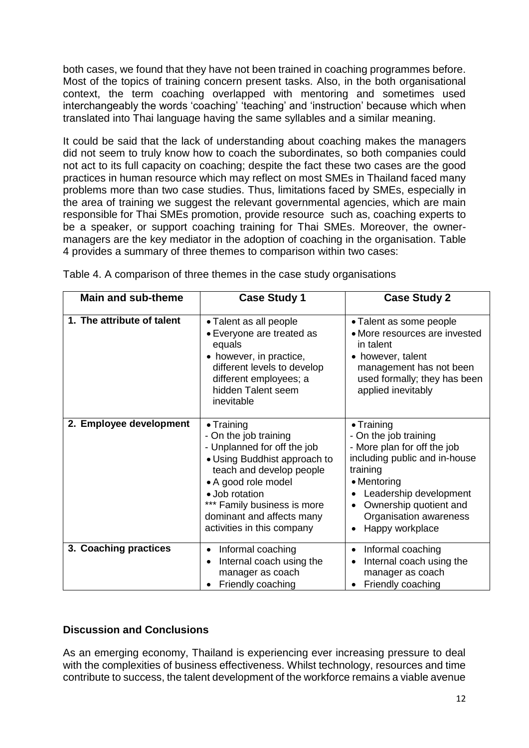both cases, we found that they have not been trained in coaching programmes before. Most of the topics of training concern present tasks. Also, in the both organisational context, the term coaching overlapped with mentoring and sometimes used interchangeably the words 'coaching' 'teaching' and 'instruction' because which when translated into Thai language having the same syllables and a similar meaning.

It could be said that the lack of understanding about coaching makes the managers did not seem to truly know how to coach the subordinates, so both companies could not act to its full capacity on coaching; despite the fact these two cases are the good practices in human resource which may reflect on most SMEs in Thailand faced many problems more than two case studies. Thus, limitations faced by SMEs, especially in the area of training we suggest the relevant governmental agencies, which are main responsible for Thai SMEs promotion, provide resource such as, coaching experts to be a speaker, or support coaching training for Thai SMEs. Moreover, the ownermanagers are the key mediator in the adoption of coaching in the organisation. Table 4 provides a summary of three themes to comparison within two cases:

| <b>Main and sub-theme</b>  | <b>Case Study 1</b>                                                                                                                                                                                                                                                       | <b>Case Study 2</b>                                                                                                                                                                                                                     |
|----------------------------|---------------------------------------------------------------------------------------------------------------------------------------------------------------------------------------------------------------------------------------------------------------------------|-----------------------------------------------------------------------------------------------------------------------------------------------------------------------------------------------------------------------------------------|
| 1. The attribute of talent | • Talent as all people<br>• Everyone are treated as<br>equals<br>• however, in practice,<br>different levels to develop<br>different employees; a<br>hidden Talent seem<br>inevitable                                                                                     | • Talent as some people<br>• More resources are invested<br>in talent<br>• however, talent<br>management has not been<br>used formally; they has been<br>applied inevitably                                                             |
| 2. Employee development    | $\bullet$ Training<br>- On the job training<br>- Unplanned for off the job<br>• Using Buddhist approach to<br>teach and develop people<br>• A good role model<br>· Job rotation<br>*** Family business is more<br>dominant and affects many<br>activities in this company | $\bullet$ Training<br>- On the job training<br>- More plan for off the job<br>including public and in-house<br>training<br>• Mentoring<br>Leadership development<br>Ownership quotient and<br>Organisation awareness<br>Happy workplace |
| 3. Coaching practices      | Informal coaching<br>$\bullet$<br>Internal coach using the<br>manager as coach<br>Friendly coaching                                                                                                                                                                       | Informal coaching<br>$\bullet$<br>Internal coach using the<br>manager as coach<br>Friendly coaching                                                                                                                                     |

Table 4. A comparison of three themes in the case study organisations

### **Discussion and Conclusions**

As an emerging economy, Thailand is experiencing ever increasing pressure to deal with the complexities of business effectiveness. Whilst technology, resources and time contribute to success, the talent development of the workforce remains a viable avenue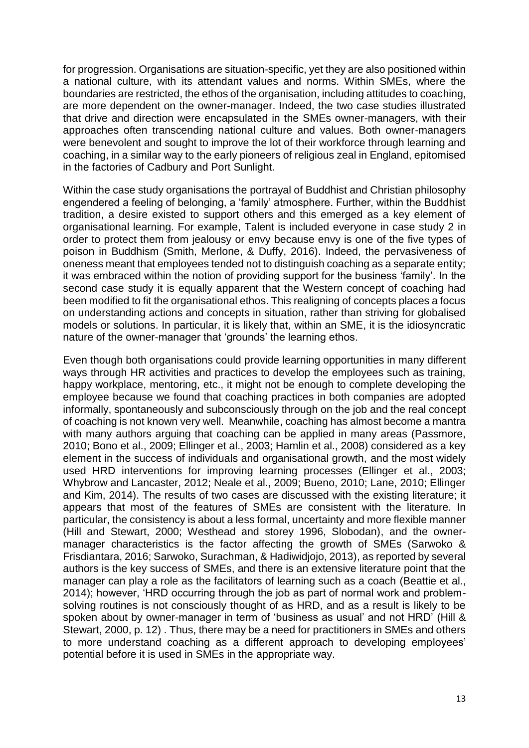for progression. Organisations are situation-specific, yet they are also positioned within a national culture, with its attendant values and norms. Within SMEs, where the boundaries are restricted, the ethos of the organisation, including attitudes to coaching, are more dependent on the owner-manager. Indeed, the two case studies illustrated that drive and direction were encapsulated in the SMEs owner-managers, with their approaches often transcending national culture and values. Both owner-managers were benevolent and sought to improve the lot of their workforce through learning and coaching, in a similar way to the early pioneers of religious zeal in England, epitomised in the factories of Cadbury and Port Sunlight.

Within the case study organisations the portrayal of Buddhist and Christian philosophy engendered a feeling of belonging, a 'family' atmosphere. Further, within the Buddhist tradition, a desire existed to support others and this emerged as a key element of organisational learning. For example, Talent is included everyone in case study 2 in order to protect them from jealousy or envy because envy is one of the five types of poison in Buddhism (Smith, Merlone, & Duffy, 2016). Indeed, the pervasiveness of oneness meant that employees tended not to distinguish coaching as a separate entity; it was embraced within the notion of providing support for the business 'family'. In the second case study it is equally apparent that the Western concept of coaching had been modified to fit the organisational ethos. This realigning of concepts places a focus on understanding actions and concepts in situation, rather than striving for globalised models or solutions. In particular, it is likely that, within an SME, it is the idiosyncratic nature of the owner-manager that 'grounds' the learning ethos.

Even though both organisations could provide learning opportunities in many different ways through HR activities and practices to develop the employees such as training, happy workplace, mentoring, etc., it might not be enough to complete developing the employee because we found that coaching practices in both companies are adopted informally, spontaneously and subconsciously through on the job and the real concept of coaching is not known very well. Meanwhile, coaching has almost become a mantra with many authors arguing that coaching can be applied in many areas (Passmore, 2010; Bono et al., 2009; Ellinger et al., 2003; Hamlin et al., 2008) considered as a key element in the success of individuals and organisational growth, and the most widely used HRD interventions for improving learning processes (Ellinger et al., 2003; Whybrow and Lancaster, 2012; Neale et al., 2009; Bueno, 2010; Lane, 2010; Ellinger and Kim, 2014). The results of two cases are discussed with the existing literature; it appears that most of the features of SMEs are consistent with the literature. In particular, the consistency is about a less formal, uncertainty and more flexible manner (Hill and Stewart, 2000; Westhead and storey 1996, Slobodan), and the ownermanager characteristics is the factor affecting the growth of SMEs (Sarwoko & Frisdiantara, 2016; Sarwoko, Surachman, & Hadiwidjojo, 2013), as reported by several authors is the key success of SMEs, and there is an extensive literature point that the manager can play a role as the facilitators of learning such as a coach (Beattie et al., 2014); however, 'HRD occurring through the job as part of normal work and problemsolving routines is not consciously thought of as HRD, and as a result is likely to be spoken about by owner-manager in term of 'business as usual' and not HRD' (Hill & Stewart, 2000, p. 12) . Thus, there may be a need for practitioners in SMEs and others to more understand coaching as a different approach to developing employees' potential before it is used in SMEs in the appropriate way.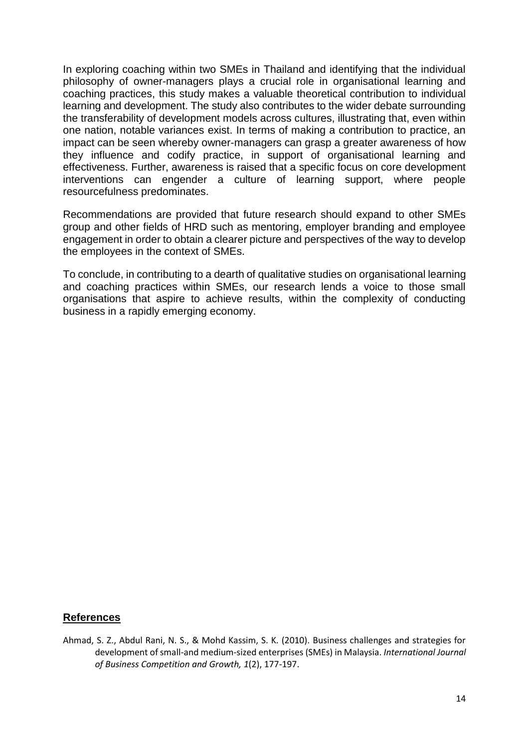In exploring coaching within two SMEs in Thailand and identifying that the individual philosophy of owner-managers plays a crucial role in organisational learning and coaching practices, this study makes a valuable theoretical contribution to individual learning and development. The study also contributes to the wider debate surrounding the transferability of development models across cultures, illustrating that, even within one nation, notable variances exist. In terms of making a contribution to practice, an impact can be seen whereby owner-managers can grasp a greater awareness of how they influence and codify practice, in support of organisational learning and effectiveness. Further, awareness is raised that a specific focus on core development interventions can engender a culture of learning support, where people resourcefulness predominates.

Recommendations are provided that future research should expand to other SMEs group and other fields of HRD such as mentoring, employer branding and employee engagement in order to obtain a clearer picture and perspectives of the way to develop the employees in the context of SMEs.

To conclude, in contributing to a dearth of qualitative studies on organisational learning and coaching practices within SMEs, our research lends a voice to those small organisations that aspire to achieve results, within the complexity of conducting business in a rapidly emerging economy.

### **References**

Ahmad, S. Z., Abdul Rani, N. S., & Mohd Kassim, S. K. (2010). Business challenges and strategies for development of small-and medium-sized enterprises (SMEs) in Malaysia. *International Journal of Business Competition and Growth, 1*(2), 177-197.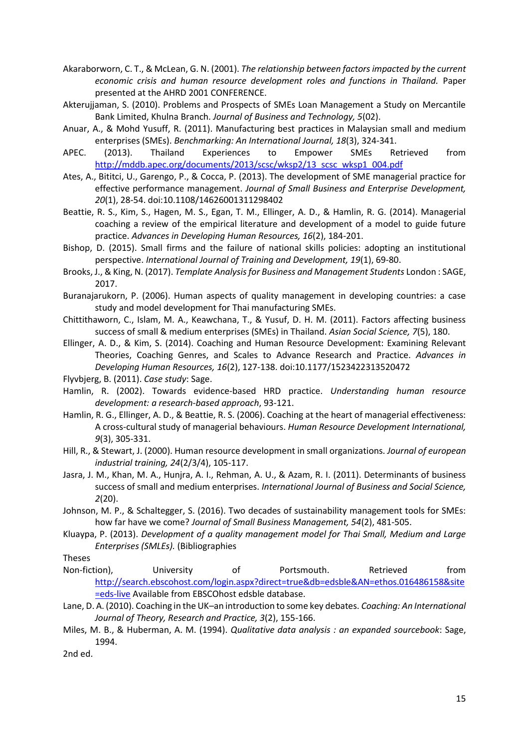- Akaraborworn, C. T., & McLean, G. N. (2001). *The relationship between factors impacted by the current economic crisis and human resource development roles and functions in Thailand.* Paper presented at the AHRD 2001 CONFERENCE.
- Akterujjaman, S. (2010). Problems and Prospects of SMEs Loan Management a Study on Mercantile Bank Limited, Khulna Branch. *Journal of Business and Technology, 5*(02).
- Anuar, A., & Mohd Yusuff, R. (2011). Manufacturing best practices in Malaysian small and medium enterprises (SMEs). *Benchmarking: An International Journal, 18*(3), 324-341.
- APEC. (2013). Thailand Experiences to Empower SMEs Retrieved from [http://mddb.apec.org/documents/2013/scsc/wksp2/13\\_scsc\\_wksp1\\_004.pdf](http://mddb.apec.org/documents/2013/scsc/wksp2/13_scsc_wksp1_004.pdf)
- Ates, A., Bititci, U., Garengo, P., & Cocca, P. (2013). The development of SME managerial practice for effective performance management. *Journal of Small Business and Enterprise Development, 20*(1), 28-54. doi:10.1108/14626001311298402
- Beattie, R. S., Kim, S., Hagen, M. S., Egan, T. M., Ellinger, A. D., & Hamlin, R. G. (2014). Managerial coaching a review of the empirical literature and development of a model to guide future practice. *Advances in Developing Human Resources, 16*(2), 184-201.
- Bishop, D. (2015). Small firms and the failure of national skills policies: adopting an institutional perspective. *International Journal of Training and Development, 19*(1), 69-80.
- Brooks, J., & King, N. (2017). *Template Analysis for Business and Management Students* London : SAGE, 2017.
- Buranajarukorn, P. (2006). Human aspects of quality management in developing countries: a case study and model development for Thai manufacturing SMEs.
- Chittithaworn, C., Islam, M. A., Keawchana, T., & Yusuf, D. H. M. (2011). Factors affecting business success of small & medium enterprises (SMEs) in Thailand. *Asian Social Science, 7*(5), 180.
- Ellinger, A. D., & Kim, S. (2014). Coaching and Human Resource Development: Examining Relevant Theories, Coaching Genres, and Scales to Advance Research and Practice. *Advances in Developing Human Resources, 16*(2), 127-138. doi:10.1177/1523422313520472
- Flyvbjerg, B. (2011). *Case study*: Sage.
- Hamlin, R. (2002). Towards evidence-based HRD practice. *Understanding human resource development: a research-based approach*, 93-121.
- Hamlin, R. G., Ellinger, A. D., & Beattie, R. S. (2006). Coaching at the heart of managerial effectiveness: A cross-cultural study of managerial behaviours. *Human Resource Development International, 9*(3), 305-331.
- Hill, R., & Stewart, J. (2000). Human resource development in small organizations. *Journal of european industrial training, 24*(2/3/4), 105-117.
- Jasra, J. M., Khan, M. A., Hunjra, A. I., Rehman, A. U., & Azam, R. I. (2011). Determinants of business success of small and medium enterprises. *International Journal of Business and Social Science, 2*(20).
- Johnson, M. P., & Schaltegger, S. (2016). Two decades of sustainability management tools for SMEs: how far have we come? *Journal of Small Business Management, 54*(2), 481-505.
- Kluaypa, P. (2013). *Development of a quality management model for Thai Small, Medium and Large Enterprises (SMLEs).* (Bibliographies

Theses

- Non-fiction), University of Portsmouth. Retrieved from [http://search.ebscohost.com/login.aspx?direct=true&db=edsble&AN=ethos.016486158&site](http://search.ebscohost.com/login.aspx?direct=true&db=edsble&AN=ethos.016486158&site=eds-live) [=eds-live](http://search.ebscohost.com/login.aspx?direct=true&db=edsble&AN=ethos.016486158&site=eds-live) Available from EBSCOhost edsble database.
- Lane, D. A. (2010). Coaching in the UK–an introduction to some key debates. *Coaching: An International Journal of Theory, Research and Practice, 3*(2), 155-166.
- Miles, M. B., & Huberman, A. M. (1994). *Qualitative data analysis : an expanded sourcebook*: Sage, 1994.

2nd ed.